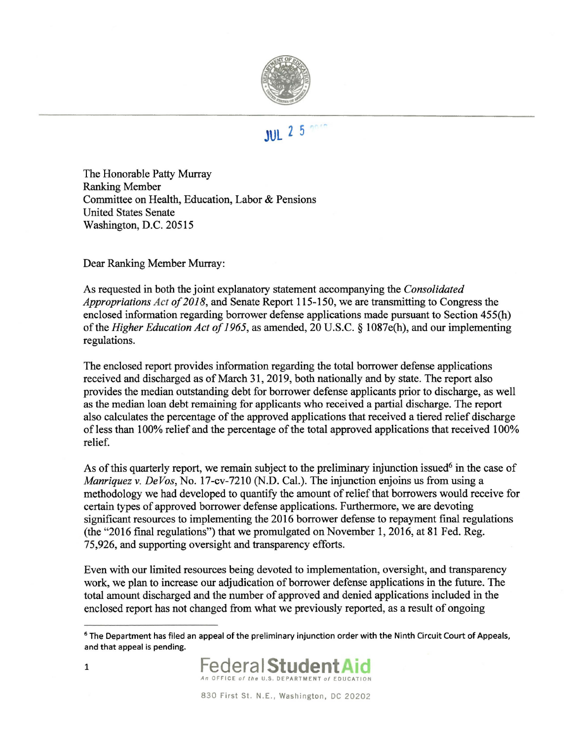

## **JUL 2 5**

The Honorable Patty Murray Ranking Member Committee on Health, Education, Labor & Pensions United States Senate Washington, D.C. 20515

Dear Ranking Member Murray:

As requested in both the joint explanatory statement accompanying the *Consolidated Appropriations Act of 2018,* and Senate Report 115-150, we are transmitting to Congress the enclosed information regarding borrower defense applications made pursuant to Section 455(h) of the *Higher Education Act of 1965,* as amended, 20 U.S.C. § I087e(h), and our implementing regulations.

The enclosed report provides information regarding the total borrower defense applications received and discharged as of March 31, 2019, both nationally and by state. The report also provides the median outstanding debt for borrower defense applicants prior to discharge, as well as the median loan debt remaining for applicants who received a partial discharge. The report also calculates the percentage of the approved applications that received a tiered relief discharge of less than 100% relief and the percentage of the total approved applications that received 100% relief.

As of this quarterly report, we remain subject to the preliminary injunction issued<sup>6</sup> in the case of *Manriquez* v. *De Vos,* No. 17-cv-7210 (N.D. Cal.). The injunction enjoins us from using a methodology we had developed to quantify the amount of relief that borrowers would receive for certain types of approved borrower defense applications. Furthermore, we are devoting significant resources to implementing the 2016 borrower defense to repayment final regulations (the "2016 final regulations") that we promulgated on November 1, 2016, at 81 Fed. Reg. 75,926, and supporting oversight and transparency efforts.

Even with our limited resources being devoted to implementation, oversight, and transparency work, we plan to increase our adjudication of borrower defense applications in the future. The total amount discharged and the number of approved and denied applications included in the enclosed report has not changed from what we previously reported, as a result of ongoing

<sup>&</sup>lt;sup>6</sup> The Department has filed an appeal of the preliminary injunction order with the Ninth Circuit Court of Appeals, and that appeal is pending.

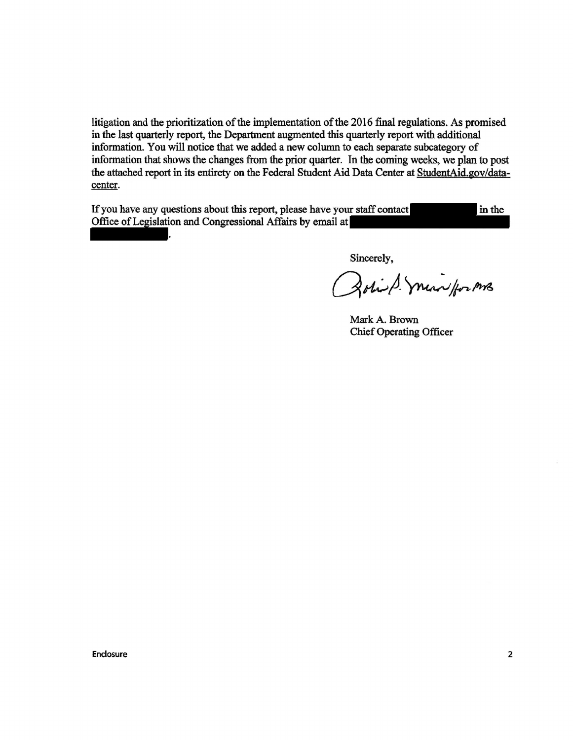litigation and the prioritization of the implementation of the 2016 final regulations. As promised in the last quarterly report, the Department augmented this quarterly report with additional information. You will notice that we added a new column to each separate subcategory of information that shows the changes from the prior quarter. In the coming weeks, we plan to post the attached report in its entirety on the Federal Student Aid Data Center at StudentAid.gov/datacenter.

If you have any questions about this report, please have your staff contact in the Office of Legislation and Congressional Affairs by email at

.

Sincerely,

Bohist miniforms

Mark A. Brown Chief Operating Officer

Enclosure 2